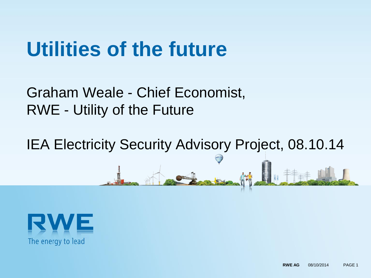# **Utilities of the future**

### Graham Weale - Chief Economist, RWE - Utility of the Future

IEA Electricity Security Advisory Project, 08.10.14

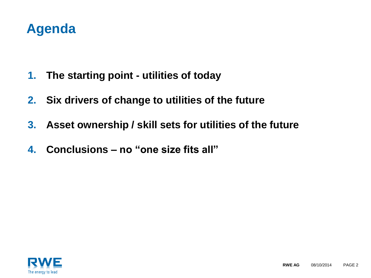#### **Agenda**

- **1. The starting point - utilities of today**
- **2. Six drivers of change to utilities of the future**
- **3. Asset ownership / skill sets for utilities of the future**
- **4. Conclusions – no "one size fits all"**

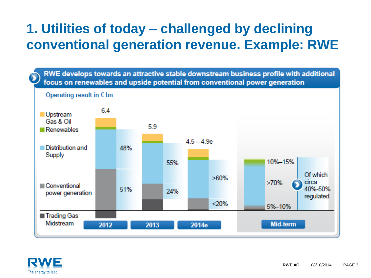#### **1. Utilities of today – challenged by declining conventional generation revenue. Example: RWE**

RWE develops towards an attractive stable downstream business profile with additional focus on renewables and upside potential from conventional power generation



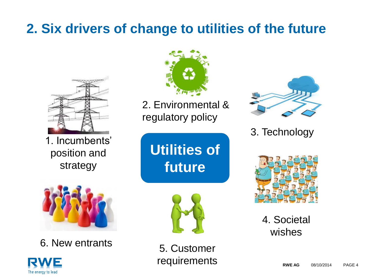### **2. Six drivers of change to utilities of the future**



1. Incumbents' position and strategy



6. New entrants





2. Environmental & regulatory policy



3. Technology





5. Customer requirements



4. Societal wishes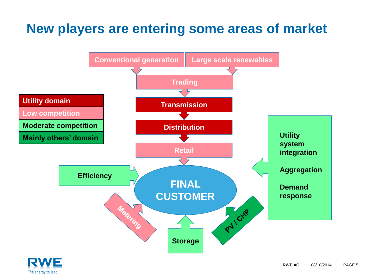#### **New players are entering some areas of market**



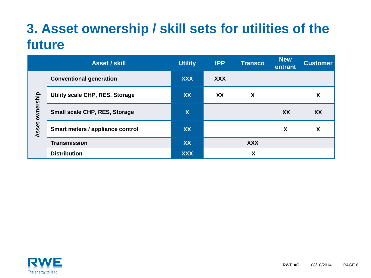#### **3. Asset ownership / skill sets for utilities of the future**

|                                  | <b>Asset / skill</b>                 | <b>Utility</b>            | <b>IPP</b> | <b>Transco</b> | <b>New</b><br>entrant | <b>Customer</b> |
|----------------------------------|--------------------------------------|---------------------------|------------|----------------|-----------------------|-----------------|
| mership<br>$\mathbf{S}$<br>Asset | <b>Conventional generation</b>       | <b>XXX</b>                | <b>XXX</b> |                |                       |                 |
|                                  | Utility scale CHP, RES, Storage      | XX                        | XX         | X              |                       | X               |
|                                  | <b>Small scale CHP, RES, Storage</b> | $\boldsymbol{\mathsf{X}}$ |            |                | XX                    | <b>XX</b>       |
|                                  | Smart meters / appliance control     | <b>XX</b>                 |            |                | X                     | X               |
|                                  | <b>Transmission</b>                  | XX                        |            | <b>XXX</b>     |                       |                 |
|                                  | <b>Distribution</b>                  | <b>XXX</b>                |            | X              |                       |                 |

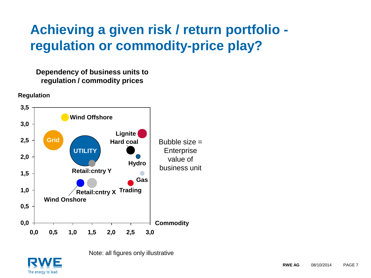#### **Achieving a given risk / return portfolio regulation or commodity-price play?**

#### **Dependency of business units to regulation / commodity prices**

**Regulation**





Note: all figures only illustrative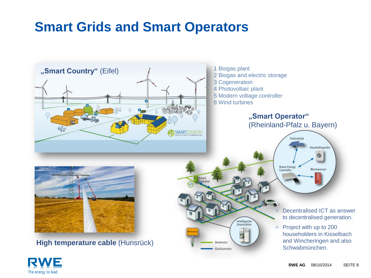#### **Smart Grids and Smart Operators**



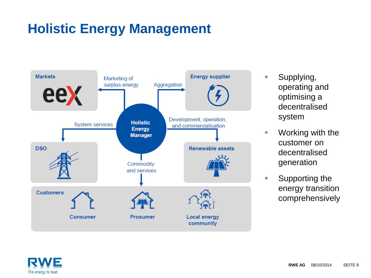#### **Holistic Energy Management**



- **Supplying,** operating and optimising a decentralised system
- **Norking with the** customer on decentralised generation
- Supporting the energy transition comprehensively

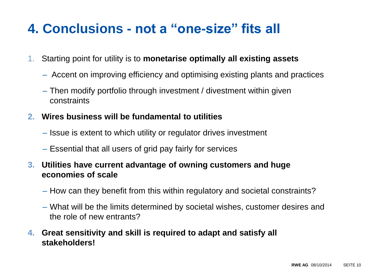#### **4. Conclusions - not a "one-size" fits all**

- 1. Starting point for utility is to **monetarise optimally all existing assets**
	- Accent on improving efficiency and optimising existing plants and practices
	- Then modify portfolio through investment / divestment within given constraints
- **2. Wires business will be fundamental to utilities**
	- Issue is extent to which utility or regulator drives investment
	- Essential that all users of grid pay fairly for services
- **3. Utilities have current advantage of owning customers and huge economies of scale**
	- How can they benefit from this within regulatory and societal constraints?
	- What will be the limits determined by societal wishes, customer desires and the role of new entrants?
- **4. Great sensitivity and skill is required to adapt and satisfy all stakeholders!**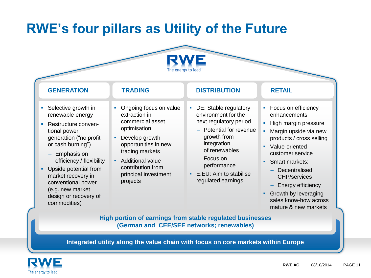#### **RWE's four pillars as Utility of the Future**



| <b>GENERATION</b>                                                                                                                                                                                                                                                                                              | <b>TRADING</b>                                                                                                                                                                                                               | <b>DISTRIBUTION</b>                                                                                                                                                                                                                  | <b>RETAIL</b>                                                                                                                                                                                                                                                                                                                                                  |  |  |  |  |  |  |
|----------------------------------------------------------------------------------------------------------------------------------------------------------------------------------------------------------------------------------------------------------------------------------------------------------------|------------------------------------------------------------------------------------------------------------------------------------------------------------------------------------------------------------------------------|--------------------------------------------------------------------------------------------------------------------------------------------------------------------------------------------------------------------------------------|----------------------------------------------------------------------------------------------------------------------------------------------------------------------------------------------------------------------------------------------------------------------------------------------------------------------------------------------------------------|--|--|--|--|--|--|
| Selective growth in<br>renewable energy<br>Restructure conven-<br>tional power<br>generation ("no profit<br>or cash burning")<br>$-$ Emphasis on<br>efficiency / flexibility<br>Upside potential from<br>market recovery in<br>conventional power<br>(e.g. new market<br>design or recovery of<br>commodities) | Ongoing focus on value<br>extraction in<br>commercial asset<br>optimisation<br>Develop growth<br>opportunities in new<br>trading markets<br><b>Additional value</b><br>contribution from<br>principal investment<br>projects | DE: Stable regulatory<br>٠<br>environment for the<br>next regulatory period<br>- Potential for revenue<br>growth from<br>integration<br>of renewables<br>- Focus on<br>performance<br>• E.EU: Aim to stabilise<br>regulated earnings | • Focus on efficiency<br>enhancements<br>High margin pressure<br>$\mathcal{C}$<br>Margin upside via new<br>Ē,<br>products / cross selling<br>Value-oriented<br>$\blacksquare$<br>customer service<br>Smart markets:<br>٠<br>Decentralised<br><b>CHP/services</b><br>Energy efficiency<br>Growth by leveraging<br>sales know-how across<br>mature & new markets |  |  |  |  |  |  |
| High portion of earnings from stable regulated businesses<br>(German and CEE/SEE networks; renewables)                                                                                                                                                                                                         |                                                                                                                                                                                                                              |                                                                                                                                                                                                                                      |                                                                                                                                                                                                                                                                                                                                                                |  |  |  |  |  |  |

**Integrated utility along the value chain with focus on core markets within Europe**